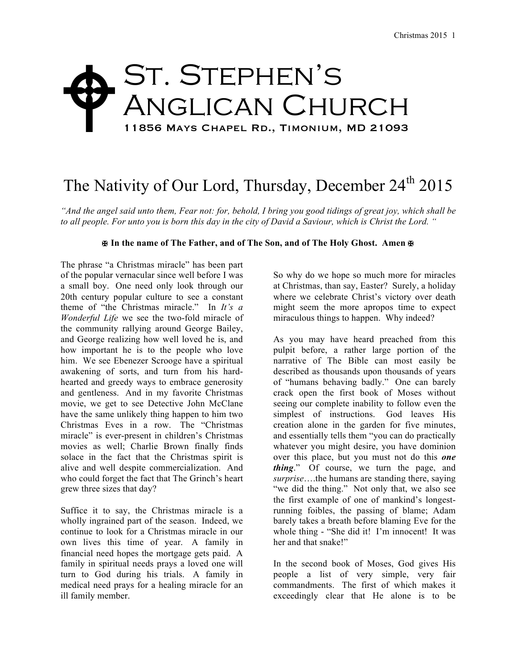## St. Stephen's Anglican Church 11856 Mays Chapel Rd., Timonium, MD 21093  $\blacklozenge$

## The Nativity of Our Lord, Thursday, December 24<sup>th</sup> 2015

*"And the angel said unto them, Fear not: for, behold, I bring you good tidings of great joy, which shall be to all people. For unto you is born this day in the city of David a Saviour, which is Christ the Lord. "*

## **✠ In the name of The Father, and of The Son, and of The Holy Ghost. Amen ✠**

The phrase "a Christmas miracle" has been part of the popular vernacular since well before I was a small boy. One need only look through our 20th century popular culture to see a constant theme of "the Christmas miracle." In *It's a Wonderful Life* we see the two-fold miracle of the community rallying around George Bailey, and George realizing how well loved he is, and how important he is to the people who love him. We see Ebenezer Scrooge have a spiritual awakening of sorts, and turn from his hardhearted and greedy ways to embrace generosity and gentleness. And in my favorite Christmas movie, we get to see Detective John McClane have the same unlikely thing happen to him two Christmas Eves in a row. The "Christmas miracle" is ever-present in children's Christmas movies as well; Charlie Brown finally finds solace in the fact that the Christmas spirit is alive and well despite commercialization. And who could forget the fact that The Grinch's heart grew three sizes that day?

Suffice it to say, the Christmas miracle is a wholly ingrained part of the season. Indeed, we continue to look for a Christmas miracle in our own lives this time of year. A family in financial need hopes the mortgage gets paid. A family in spiritual needs prays a loved one will turn to God during his trials. A family in medical need prays for a healing miracle for an ill family member.

So why do we hope so much more for miracles at Christmas, than say, Easter? Surely, a holiday where we celebrate Christ's victory over death might seem the more apropos time to expect miraculous things to happen. Why indeed?

As you may have heard preached from this pulpit before, a rather large portion of the narrative of The Bible can most easily be described as thousands upon thousands of years of "humans behaving badly." One can barely crack open the first book of Moses without seeing our complete inability to follow even the simplest of instructions. God leaves His creation alone in the garden for five minutes, and essentially tells them "you can do practically whatever you might desire, you have dominion over this place, but you must not do this *one thing*." Of course, we turn the page, and *surprise*….the humans are standing there, saying "we did the thing." Not only that, we also see the first example of one of mankind's longestrunning foibles, the passing of blame; Adam barely takes a breath before blaming Eve for the whole thing - "She did it! I'm innocent! It was her and that snake!"

In the second book of Moses, God gives His people a list of very simple, very fair commandments. The first of which makes it exceedingly clear that He alone is to be